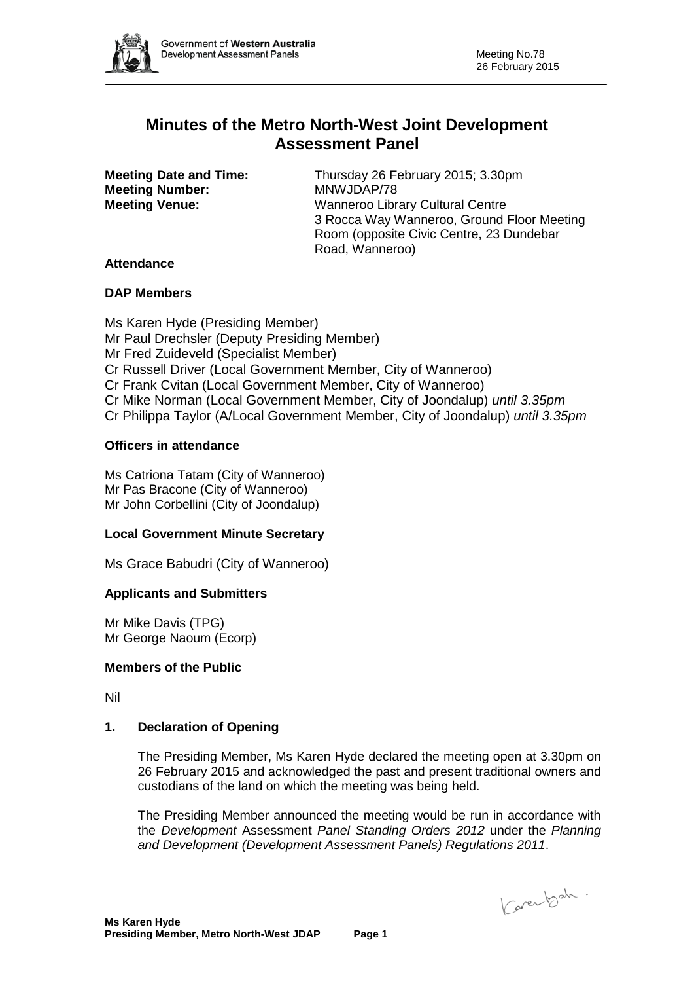

# **Minutes of the Metro North-West Joint Development Assessment Panel**

**Meeting Number:** MNWJDAP/78<br> **Meeting Venue:** Wanneroo Libr

**Meeting Date and Time:** Thursday 26 February 2015; 3.30pm **Meeting Venue:** Wanneroo Library Cultural Centre 3 Rocca Way Wanneroo, Ground Floor Meeting Room (opposite Civic Centre, 23 Dundebar Road, Wanneroo)

# **Attendance**

#### **DAP Members**

Ms Karen Hyde (Presiding Member) Mr Paul Drechsler (Deputy Presiding Member) Mr Fred Zuideveld (Specialist Member) Cr Russell Driver (Local Government Member, City of Wanneroo) Cr Frank Cvitan (Local Government Member, City of Wanneroo) Cr Mike Norman (Local Government Member, City of Joondalup) *until 3.35pm* Cr Philippa Taylor (A/Local Government Member, City of Joondalup) *until 3.35pm*

# **Officers in attendance**

Ms Catriona Tatam (City of Wanneroo) Mr Pas Bracone (City of Wanneroo) Mr John Corbellini (City of Joondalup)

#### **Local Government Minute Secretary**

Ms Grace Babudri (City of Wanneroo)

# **Applicants and Submitters**

Mr Mike Davis (TPG) Mr George Naoum (Ecorp)

#### **Members of the Public**

Nil

#### **1. Declaration of Opening**

The Presiding Member, Ms Karen Hyde declared the meeting open at 3.30pm on 26 February 2015 and acknowledged the past and present traditional owners and custodians of the land on which the meeting was being held.

The Presiding Member announced the meeting would be run in accordance with the *Development* Assessment *Panel Standing Orders 2012* under the *Planning and Development (Development Assessment Panels) Regulations 2011*.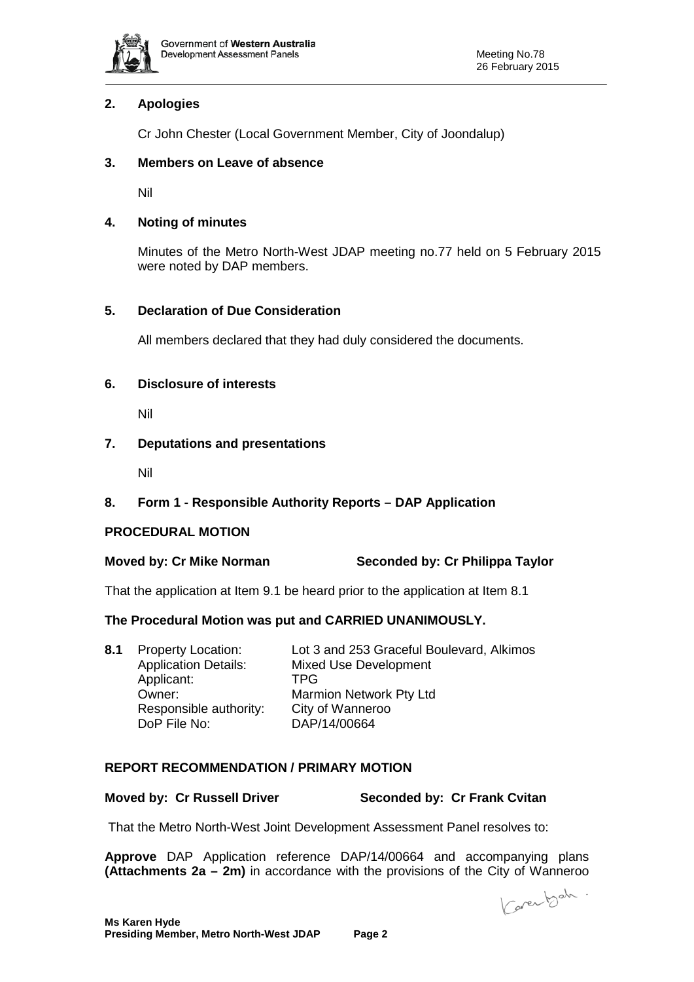

# **2. Apologies**

Cr John Chester (Local Government Member, City of Joondalup)

### **3. Members on Leave of absence**

Nil

# **4. Noting of minutes**

Minutes of the Metro North-West JDAP meeting no.77 held on 5 February 2015 were noted by DAP members.

# **5. Declaration of Due Consideration**

All members declared that they had duly considered the documents.

# **6. Disclosure of interests**

Nil

# **7. Deputations and presentations**

Nil

# **8. Form 1 - Responsible Authority Reports – DAP Application**

#### **PROCEDURAL MOTION**

# **Moved by: Cr Mike Norman Seconded by: Cr Philippa Taylor**

That the application at Item 9.1 be heard prior to the application at Item 8.1

#### **The Procedural Motion was put and CARRIED UNANIMOUSLY.**

| 8.1 | <b>Property Location:</b>   | Lot 3 and 253 Graceful Boulevard, Alkimos |
|-----|-----------------------------|-------------------------------------------|
|     | <b>Application Details:</b> | Mixed Use Development                     |
|     | Applicant:                  | TPG.                                      |
|     | Owner:                      | <b>Marmion Network Pty Ltd</b>            |
|     | Responsible authority:      | City of Wanneroo                          |
|     | DoP File No:                | DAP/14/00664                              |

# **REPORT RECOMMENDATION / PRIMARY MOTION**

# **Moved by: Cr Russell Driver Seconded by: Cr Frank Cvitan**

That the Metro North-West Joint Development Assessment Panel resolves to:

**Approve** DAP Application reference DAP/14/00664 and accompanying plans **(Attachments 2a – 2m)** in accordance with the provisions of the City of Wanneroo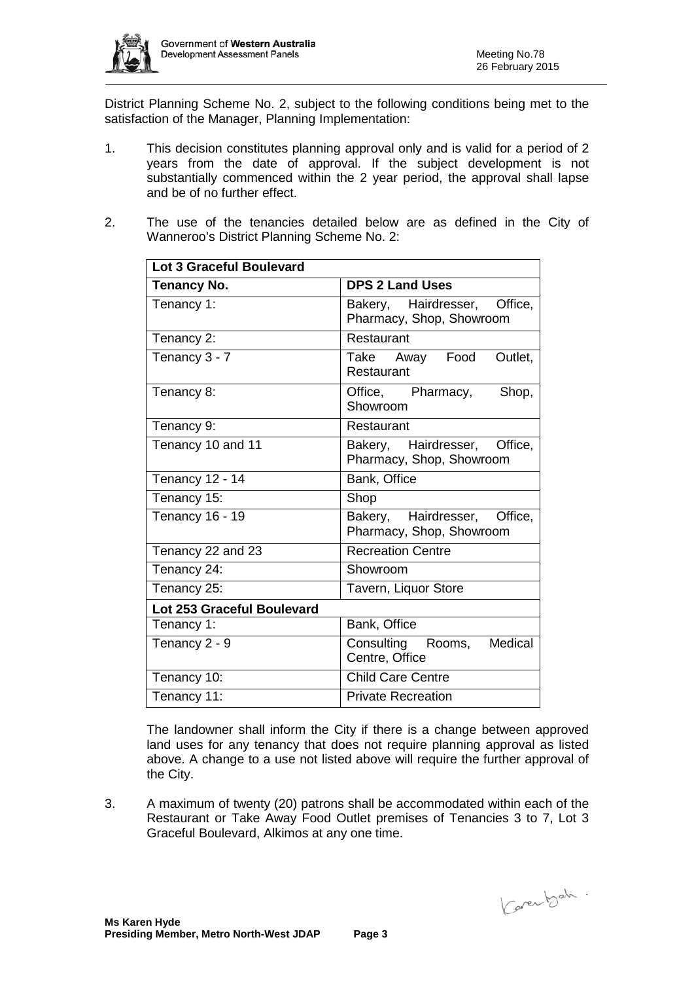

District Planning Scheme No. 2, subject to the following conditions being met to the satisfaction of the Manager, Planning Implementation:

- 1. This decision constitutes planning approval only and is valid for a period of 2 years from the date of approval. If the subject development is not substantially commenced within the 2 year period, the approval shall lapse and be of no further effect.
- 2. The use of the tenancies detailed below are as defined in the City of Wanneroo's District Planning Scheme No. 2:

| <b>Lot 3 Graceful Boulevard</b> |                                                          |  |  |  |
|---------------------------------|----------------------------------------------------------|--|--|--|
| <b>Tenancy No.</b>              | <b>DPS 2 Land Uses</b>                                   |  |  |  |
| Tenancy 1:                      | Bakery, Hairdresser, Office,<br>Pharmacy, Shop, Showroom |  |  |  |
| Tenancy 2:                      | Restaurant                                               |  |  |  |
| Tenancy 3 - 7                   | Take Away Food<br>Outlet.<br>Restaurant                  |  |  |  |
| Tenancy 8:                      | Office, Pharmacy,<br>Shop,<br>Showroom                   |  |  |  |
| Tenancy 9:                      | Restaurant                                               |  |  |  |
| Tenancy 10 and 11               | Bakery, Hairdresser, Office,<br>Pharmacy, Shop, Showroom |  |  |  |
| <b>Tenancy 12 - 14</b>          | Bank, Office                                             |  |  |  |
| Tenancy 15:                     | Shop                                                     |  |  |  |
| <b>Tenancy 16 - 19</b>          | Bakery, Hairdresser, Office,<br>Pharmacy, Shop, Showroom |  |  |  |
| Tenancy 22 and 23               | <b>Recreation Centre</b>                                 |  |  |  |
| Tenancy 24:                     | Showroom                                                 |  |  |  |
| Tenancy 25:                     | Tavern, Liquor Store                                     |  |  |  |
| Lot 253 Graceful Boulevard      |                                                          |  |  |  |
| Tenancy 1:                      | Bank, Office                                             |  |  |  |
| Tenancy 2 - 9                   | Consulting Rooms,<br>Medical<br>Centre, Office           |  |  |  |
| Tenancy 10:                     | <b>Child Care Centre</b>                                 |  |  |  |
| Tenancy 11:                     | <b>Private Recreation</b>                                |  |  |  |

The landowner shall inform the City if there is a change between approved land uses for any tenancy that does not require planning approval as listed above. A change to a use not listed above will require the further approval of the City.

3. A maximum of twenty (20) patrons shall be accommodated within each of the Restaurant or Take Away Food Outlet premises of Tenancies 3 to 7, Lot 3 Graceful Boulevard, Alkimos at any one time.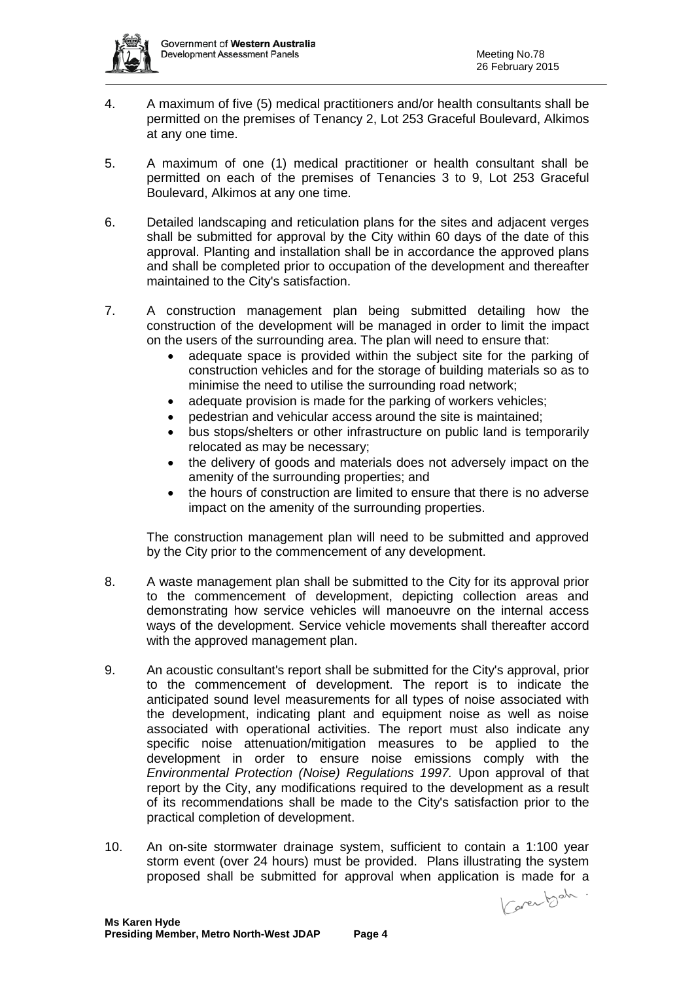

- 4. A maximum of five (5) medical practitioners and/or health consultants shall be permitted on the premises of Tenancy 2, Lot 253 Graceful Boulevard, Alkimos at any one time.
- 5. A maximum of one (1) medical practitioner or health consultant shall be permitted on each of the premises of Tenancies 3 to 9, Lot 253 Graceful Boulevard, Alkimos at any one time.
- 6. Detailed landscaping and reticulation plans for the sites and adjacent verges shall be submitted for approval by the City within 60 days of the date of this approval. Planting and installation shall be in accordance the approved plans and shall be completed prior to occupation of the development and thereafter maintained to the City's satisfaction.
- 7. A construction management plan being submitted detailing how the construction of the development will be managed in order to limit the impact on the users of the surrounding area. The plan will need to ensure that:
	- adequate space is provided within the subject site for the parking of construction vehicles and for the storage of building materials so as to minimise the need to utilise the surrounding road network;
	- adequate provision is made for the parking of workers vehicles;
	- pedestrian and vehicular access around the site is maintained;
	- bus stops/shelters or other infrastructure on public land is temporarily relocated as may be necessary;
	- the delivery of goods and materials does not adversely impact on the amenity of the surrounding properties; and
	- the hours of construction are limited to ensure that there is no adverse impact on the amenity of the surrounding properties.

The construction management plan will need to be submitted and approved by the City prior to the commencement of any development.

- 8. A waste management plan shall be submitted to the City for its approval prior to the commencement of development, depicting collection areas and demonstrating how service vehicles will manoeuvre on the internal access ways of the development. Service vehicle movements shall thereafter accord with the approved management plan.
- 9. An acoustic consultant's report shall be submitted for the City's approval, prior to the commencement of development. The report is to indicate the anticipated sound level measurements for all types of noise associated with the development, indicating plant and equipment noise as well as noise associated with operational activities. The report must also indicate any specific noise attenuation/mitigation measures to be applied to the development in order to ensure noise emissions comply with the *Environmental Protection (Noise) Regulations 1997.* Upon approval of that report by the City, any modifications required to the development as a result of its recommendations shall be made to the City's satisfaction prior to the practical completion of development.
- 10. An on-site stormwater drainage system, sufficient to contain a 1:100 year storm event (over 24 hours) must be provided. Plans illustrating the system proposed shall be submitted for approval when application is made for a<br> $\sim$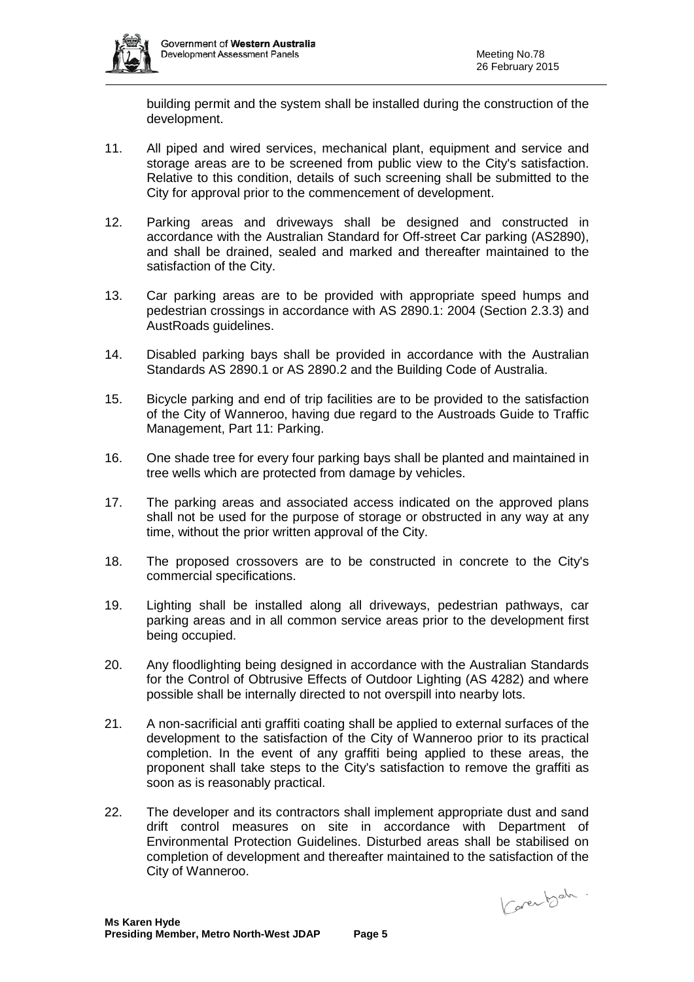

building permit and the system shall be installed during the construction of the development.

- 11. All piped and wired services, mechanical plant, equipment and service and storage areas are to be screened from public view to the City's satisfaction. Relative to this condition, details of such screening shall be submitted to the City for approval prior to the commencement of development.
- 12. Parking areas and driveways shall be designed and constructed in accordance with the Australian Standard for Off-street Car parking (AS2890), and shall be drained, sealed and marked and thereafter maintained to the satisfaction of the City.
- 13. Car parking areas are to be provided with appropriate speed humps and pedestrian crossings in accordance with AS 2890.1: 2004 (Section 2.3.3) and AustRoads guidelines.
- 14. Disabled parking bays shall be provided in accordance with the Australian Standards AS 2890.1 or AS 2890.2 and the Building Code of Australia.
- 15. Bicycle parking and end of trip facilities are to be provided to the satisfaction of the City of Wanneroo, having due regard to the Austroads Guide to Traffic Management, Part 11: Parking.
- 16. One shade tree for every four parking bays shall be planted and maintained in tree wells which are protected from damage by vehicles.
- 17. The parking areas and associated access indicated on the approved plans shall not be used for the purpose of storage or obstructed in any way at any time, without the prior written approval of the City.
- 18. The proposed crossovers are to be constructed in concrete to the City's commercial specifications.
- 19. Lighting shall be installed along all driveways, pedestrian pathways, car parking areas and in all common service areas prior to the development first being occupied.
- 20. Any floodlighting being designed in accordance with the Australian Standards for the Control of Obtrusive Effects of Outdoor Lighting (AS 4282) and where possible shall be internally directed to not overspill into nearby lots.
- 21. A non-sacrificial anti graffiti coating shall be applied to external surfaces of the development to the satisfaction of the City of Wanneroo prior to its practical completion. In the event of any graffiti being applied to these areas, the proponent shall take steps to the City's satisfaction to remove the graffiti as soon as is reasonably practical.
- 22. The developer and its contractors shall implement appropriate dust and sand drift control measures on site in accordance with Department of Environmental Protection Guidelines. Disturbed areas shall be stabilised on completion of development and thereafter maintained to the satisfaction of the City of Wanneroo.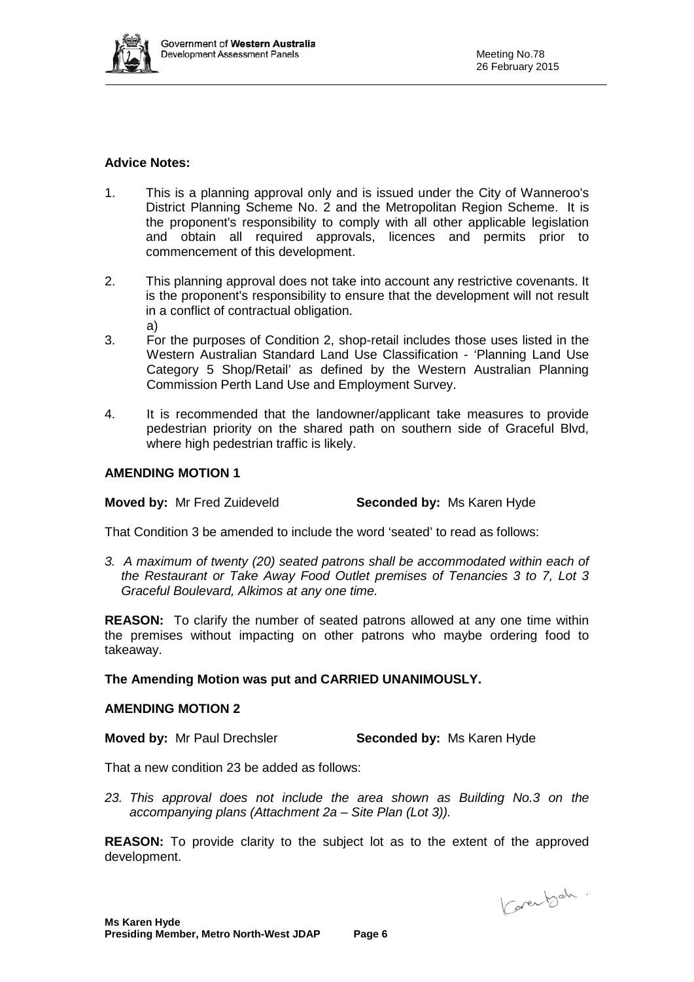

#### **Advice Notes:**

- 1. This is a planning approval only and is issued under the City of Wanneroo's District Planning Scheme No. 2 and the Metropolitan Region Scheme. It is the proponent's responsibility to comply with all other applicable legislation and obtain all required approvals, licences and permits prior to commencement of this development.
- 2. This planning approval does not take into account any restrictive covenants. It is the proponent's responsibility to ensure that the development will not result in a conflict of contractual obligation. a)
- 3. For the purposes of Condition 2, shop-retail includes those uses listed in the Western Australian Standard Land Use Classification - 'Planning Land Use Category 5 Shop/Retail' as defined by the Western Australian Planning Commission Perth Land Use and Employment Survey.
- 4. It is recommended that the landowner/applicant take measures to provide pedestrian priority on the shared path on southern side of Graceful Blvd, where high pedestrian traffic is likely.

#### **AMENDING MOTION 1**

**Moved by:** Mr Fred Zuideveld **Seconded by:** Ms Karen Hyde

That Condition 3 be amended to include the word 'seated' to read as follows:

*3. A maximum of twenty (20) seated patrons shall be accommodated within each of the Restaurant or Take Away Food Outlet premises of Tenancies 3 to 7, Lot 3 Graceful Boulevard, Alkimos at any one time.*

**REASON:** To clarify the number of seated patrons allowed at any one time within the premises without impacting on other patrons who maybe ordering food to takeaway.

#### **The Amending Motion was put and CARRIED UNANIMOUSLY.**

#### **AMENDING MOTION 2**

**Moved by:** Mr Paul Drechsler **Seconded by:** Ms Karen Hyde

That a new condition 23 be added as follows:

*23. This approval does not include the area shown as Building No.3 on the accompanying plans (Attachment 2a – Site Plan (Lot 3)).*

**REASON:** To provide clarity to the subject lot as to the extent of the approved development.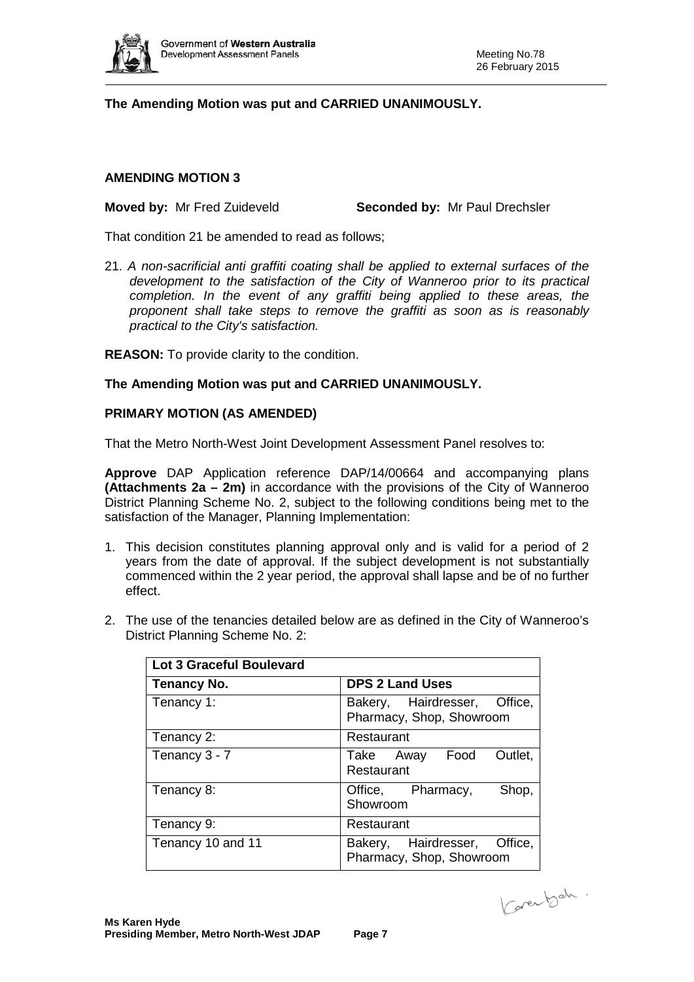

# **The Amending Motion was put and CARRIED UNANIMOUSLY.**

#### **AMENDING MOTION 3**

#### **Moved by:** Mr Fred Zuideveld **Seconded by:** Mr Paul Drechsler

That condition 21 be amended to read as follows;

21. *A non-sacrificial anti graffiti coating shall be applied to external surfaces of the development to the satisfaction of the City of Wanneroo prior to its practical*  completion. In the event of any graffiti being applied to these areas, the *proponent shall take steps to remove the graffiti as soon as is reasonably practical to the City's satisfaction.*

**REASON:** To provide clarity to the condition.

#### **The Amending Motion was put and CARRIED UNANIMOUSLY.**

#### **PRIMARY MOTION (AS AMENDED)**

That the Metro North-West Joint Development Assessment Panel resolves to:

**Approve** DAP Application reference DAP/14/00664 and accompanying plans **(Attachments 2a – 2m)** in accordance with the provisions of the City of Wanneroo District Planning Scheme No. 2, subject to the following conditions being met to the satisfaction of the Manager, Planning Implementation:

- 1. This decision constitutes planning approval only and is valid for a period of 2 years from the date of approval. If the subject development is not substantially commenced within the 2 year period, the approval shall lapse and be of no further effect.
- 2. The use of the tenancies detailed below are as defined in the City of Wanneroo's District Planning Scheme No. 2:

| <b>Lot 3 Graceful Boulevard</b> |                                                          |  |  |  |
|---------------------------------|----------------------------------------------------------|--|--|--|
| <b>Tenancy No.</b>              | <b>DPS 2 Land Uses</b>                                   |  |  |  |
| Tenancy 1:                      | Bakery, Hairdresser, Office,<br>Pharmacy, Shop, Showroom |  |  |  |
| Tenancy 2:                      | Restaurant                                               |  |  |  |
| Tenancy 3 - 7                   | Outlet,<br>Take Away Food<br>Restaurant                  |  |  |  |
| Tenancy 8:                      | Office, Pharmacy,<br>Shop,<br>Showroom                   |  |  |  |
| Tenancy 9:                      | Restaurant                                               |  |  |  |
| Tenancy 10 and 11               | Bakery, Hairdresser, Office,<br>Pharmacy, Shop, Showroom |  |  |  |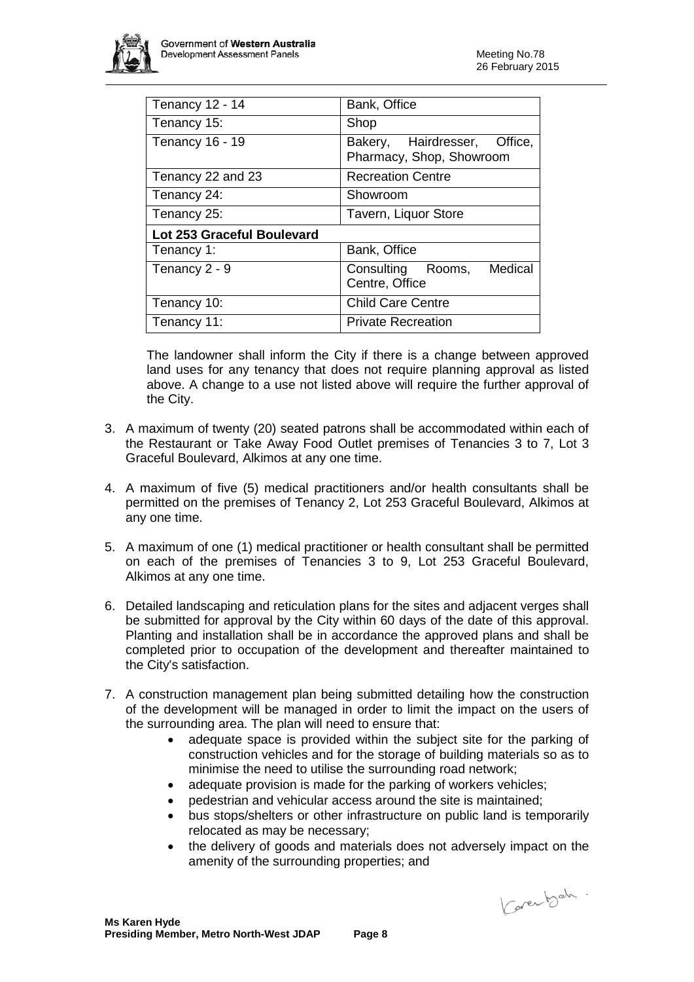

| Tenancy 12 - 14            | Bank, Office                                             |  |  |  |
|----------------------------|----------------------------------------------------------|--|--|--|
| Tenancy 15:                | Shop                                                     |  |  |  |
| <b>Tenancy 16 - 19</b>     | Bakery, Hairdresser, Office,<br>Pharmacy, Shop, Showroom |  |  |  |
| Tenancy 22 and 23          | <b>Recreation Centre</b>                                 |  |  |  |
| Tenancy 24:                | Showroom                                                 |  |  |  |
| Tenancy 25:                | Tavern, Liquor Store                                     |  |  |  |
| Lot 253 Graceful Boulevard |                                                          |  |  |  |
| Tenancy 1:                 | Bank, Office                                             |  |  |  |
| Tenancy 2 - 9              | Medical<br>Consulting Rooms,<br>Centre, Office           |  |  |  |
| Tenancy 10:                | <b>Child Care Centre</b>                                 |  |  |  |
| Tenancy 11:                | <b>Private Recreation</b>                                |  |  |  |

The landowner shall inform the City if there is a change between approved land uses for any tenancy that does not require planning approval as listed above. A change to a use not listed above will require the further approval of the City.

- 3. A maximum of twenty (20) seated patrons shall be accommodated within each of the Restaurant or Take Away Food Outlet premises of Tenancies 3 to 7, Lot 3 Graceful Boulevard, Alkimos at any one time.
- 4. A maximum of five (5) medical practitioners and/or health consultants shall be permitted on the premises of Tenancy 2, Lot 253 Graceful Boulevard, Alkimos at any one time.
- 5. A maximum of one (1) medical practitioner or health consultant shall be permitted on each of the premises of Tenancies 3 to 9, Lot 253 Graceful Boulevard, Alkimos at any one time.
- 6. Detailed landscaping and reticulation plans for the sites and adjacent verges shall be submitted for approval by the City within 60 days of the date of this approval. Planting and installation shall be in accordance the approved plans and shall be completed prior to occupation of the development and thereafter maintained to the City's satisfaction.
- 7. A construction management plan being submitted detailing how the construction of the development will be managed in order to limit the impact on the users of the surrounding area. The plan will need to ensure that:
	- adequate space is provided within the subject site for the parking of construction vehicles and for the storage of building materials so as to minimise the need to utilise the surrounding road network;
	- adequate provision is made for the parking of workers vehicles;
	- pedestrian and vehicular access around the site is maintained;
	- bus stops/shelters or other infrastructure on public land is temporarily relocated as may be necessary;
	- the delivery of goods and materials does not adversely impact on the amenity of the surrounding properties; and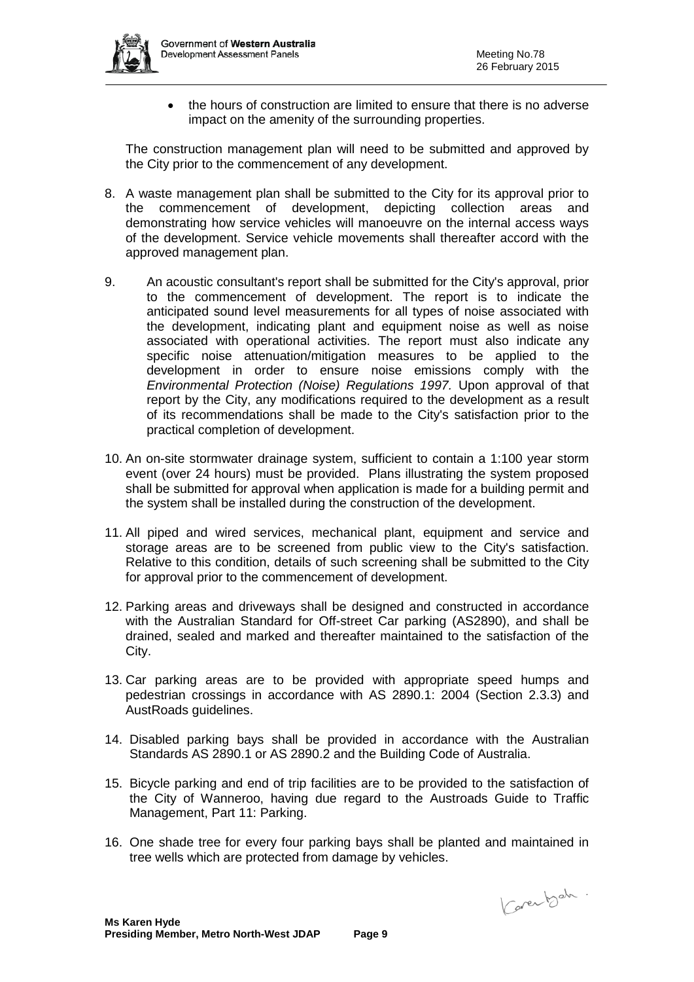

• the hours of construction are limited to ensure that there is no adverse impact on the amenity of the surrounding properties.

The construction management plan will need to be submitted and approved by the City prior to the commencement of any development.

- 8. A waste management plan shall be submitted to the City for its approval prior to the commencement of development, depicting collection areas and demonstrating how service vehicles will manoeuvre on the internal access ways of the development. Service vehicle movements shall thereafter accord with the approved management plan.
- 9. An acoustic consultant's report shall be submitted for the City's approval, prior to the commencement of development. The report is to indicate the anticipated sound level measurements for all types of noise associated with the development, indicating plant and equipment noise as well as noise associated with operational activities. The report must also indicate any specific noise attenuation/mitigation measures to be applied to the development in order to ensure noise emissions comply with the *Environmental Protection (Noise) Regulations 1997.* Upon approval of that report by the City, any modifications required to the development as a result of its recommendations shall be made to the City's satisfaction prior to the practical completion of development.
- 10. An on-site stormwater drainage system, sufficient to contain a 1:100 year storm event (over 24 hours) must be provided. Plans illustrating the system proposed shall be submitted for approval when application is made for a building permit and the system shall be installed during the construction of the development.
- 11. All piped and wired services, mechanical plant, equipment and service and storage areas are to be screened from public view to the City's satisfaction. Relative to this condition, details of such screening shall be submitted to the City for approval prior to the commencement of development.
- 12. Parking areas and driveways shall be designed and constructed in accordance with the Australian Standard for Off-street Car parking (AS2890), and shall be drained, sealed and marked and thereafter maintained to the satisfaction of the City.
- 13. Car parking areas are to be provided with appropriate speed humps and pedestrian crossings in accordance with AS 2890.1: 2004 (Section 2.3.3) and AustRoads guidelines.
- 14. Disabled parking bays shall be provided in accordance with the Australian Standards AS 2890.1 or AS 2890.2 and the Building Code of Australia.
- 15. Bicycle parking and end of trip facilities are to be provided to the satisfaction of the City of Wanneroo, having due regard to the Austroads Guide to Traffic Management, Part 11: Parking.
- 16. One shade tree for every four parking bays shall be planted and maintained in tree wells which are protected from damage by vehicles.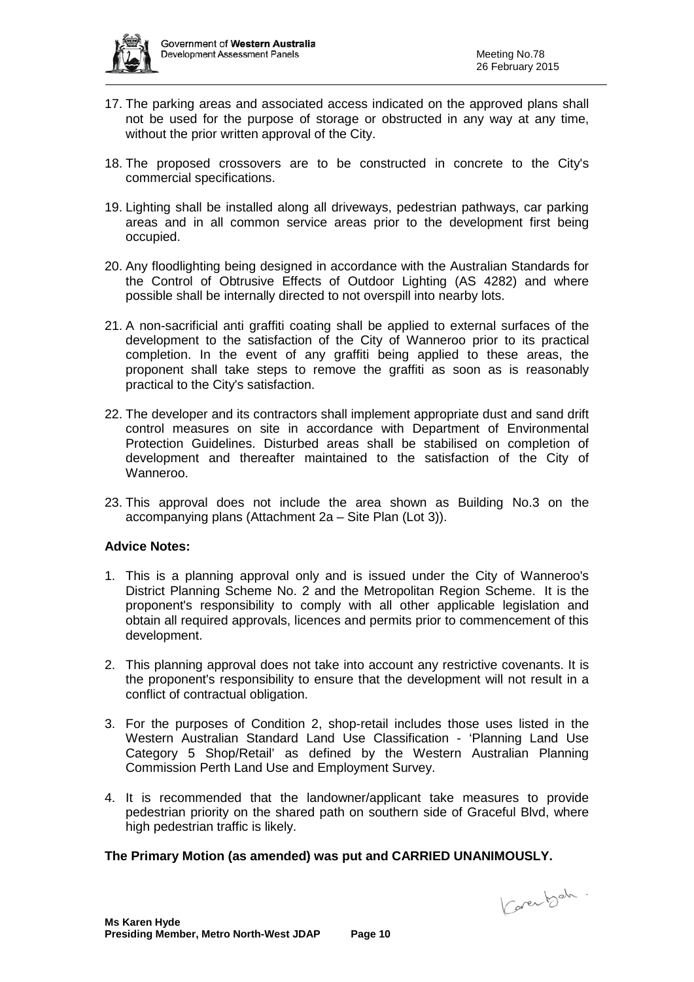

- 17. The parking areas and associated access indicated on the approved plans shall not be used for the purpose of storage or obstructed in any way at any time, without the prior written approval of the City.
- 18. The proposed crossovers are to be constructed in concrete to the City's commercial specifications.
- 19. Lighting shall be installed along all driveways, pedestrian pathways, car parking areas and in all common service areas prior to the development first being occupied.
- 20. Any floodlighting being designed in accordance with the Australian Standards for the Control of Obtrusive Effects of Outdoor Lighting (AS 4282) and where possible shall be internally directed to not overspill into nearby lots.
- 21. A non-sacrificial anti graffiti coating shall be applied to external surfaces of the development to the satisfaction of the City of Wanneroo prior to its practical completion. In the event of any graffiti being applied to these areas, the proponent shall take steps to remove the graffiti as soon as is reasonably practical to the City's satisfaction.
- 22. The developer and its contractors shall implement appropriate dust and sand drift control measures on site in accordance with Department of Environmental Protection Guidelines. Disturbed areas shall be stabilised on completion of development and thereafter maintained to the satisfaction of the City of Wanneroo.
- 23. This approval does not include the area shown as Building No.3 on the accompanying plans (Attachment 2a – Site Plan (Lot 3)).

#### **Advice Notes:**

- 1. This is a planning approval only and is issued under the City of Wanneroo's District Planning Scheme No. 2 and the Metropolitan Region Scheme. It is the proponent's responsibility to comply with all other applicable legislation and obtain all required approvals, licences and permits prior to commencement of this development.
- 2. This planning approval does not take into account any restrictive covenants. It is the proponent's responsibility to ensure that the development will not result in a conflict of contractual obligation.
- 3. For the purposes of Condition 2, shop-retail includes those uses listed in the Western Australian Standard Land Use Classification - 'Planning Land Use Category 5 Shop/Retail' as defined by the Western Australian Planning Commission Perth Land Use and Employment Survey.
- 4. It is recommended that the landowner/applicant take measures to provide pedestrian priority on the shared path on southern side of Graceful Blvd, where high pedestrian traffic is likely.

#### **The Primary Motion (as amended) was put and CARRIED UNANIMOUSLY.**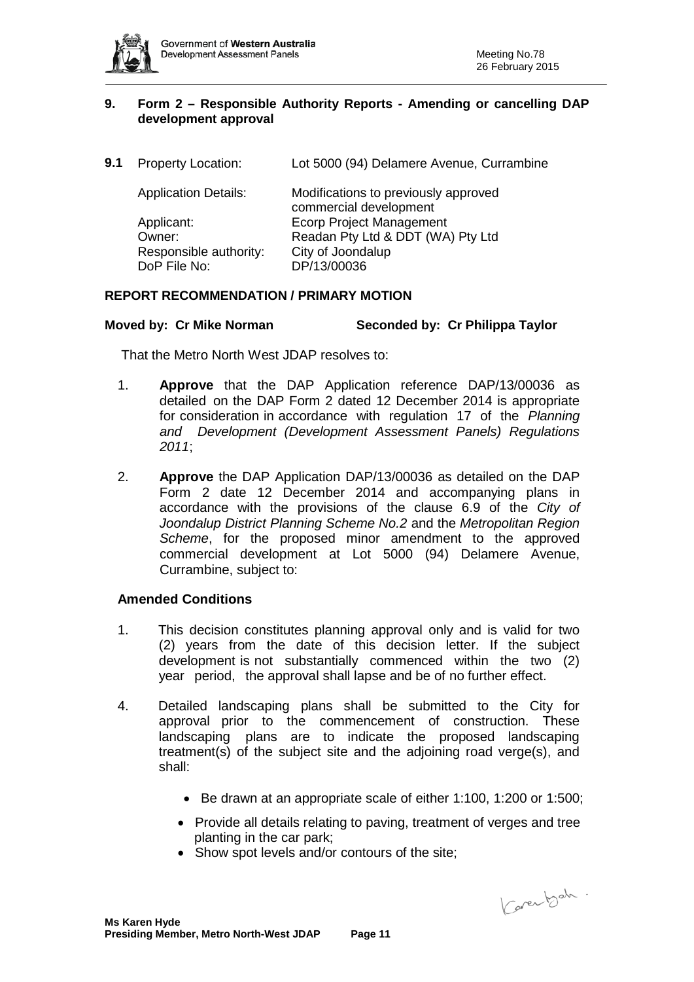

#### **9. Form 2 – Responsible Authority Reports - Amending or cancelling DAP development approval**

**9.1** Property Location: Lot 5000 (94) Delamere Avenue, Currambine

| <b>Application Details:</b> | Modifications to previously approved<br>commercial development |
|-----------------------------|----------------------------------------------------------------|
| Applicant:                  | <b>Ecorp Project Management</b>                                |
| Owner:                      | Readan Pty Ltd & DDT (WA) Pty Ltd                              |
| Responsible authority:      | City of Joondalup                                              |
| DoP File No:                | DP/13/00036                                                    |

#### **REPORT RECOMMENDATION / PRIMARY MOTION**

#### **Moved by: Cr Mike Norman Seconded by: Cr Philippa Taylor**

That the Metro North West JDAP resolves to:

- 1. **Approve** that the DAP Application reference DAP/13/00036 as detailed on the DAP Form 2 dated 12 December 2014 is appropriate for consideration in accordance with regulation 17 of the *Planning and Development (Development Assessment Panels) Regulations 2011*;
- 2. **Approve** the DAP Application DAP/13/00036 as detailed on the DAP Form 2 date 12 December 2014 and accompanying plans in accordance with the provisions of the clause 6.9 of the *City of Joondalup District Planning Scheme No.2* and the *Metropolitan Region Scheme*, for the proposed minor amendment to the approved commercial development at Lot 5000 (94) Delamere Avenue, Currambine, subject to:

#### **Amended Conditions**

- 1. This decision constitutes planning approval only and is valid for two (2) years from the date of this decision letter. If the subject development is not substantially commenced within the two (2) year period, the approval shall lapse and be of no further effect.
- 4. Detailed landscaping plans shall be submitted to the City for approval prior to the commencement of construction. These landscaping plans are to indicate the proposed landscaping treatment(s) of the subject site and the adjoining road verge(s), and shall:
	- Be drawn at an appropriate scale of either 1:100, 1:200 or 1:500;
	- Provide all details relating to paving, treatment of verges and tree planting in the car park;
	- Show spot levels and/or contours of the site: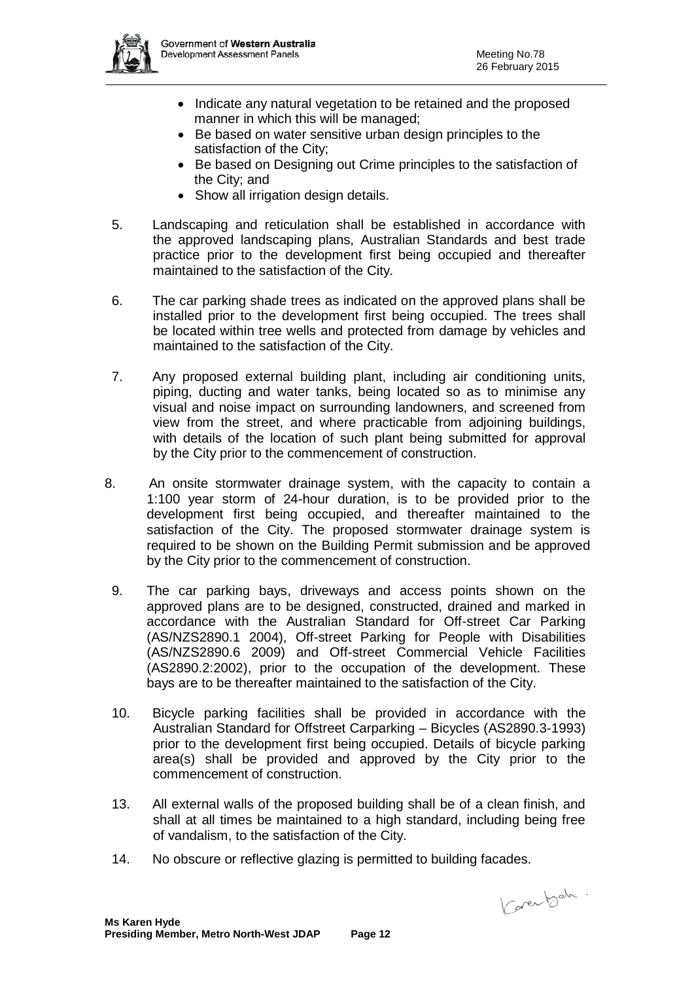

- Indicate any natural vegetation to be retained and the proposed manner in which this will be managed;
- Be based on water sensitive urban design principles to the satisfaction of the City;
- Be based on Designing out Crime principles to the satisfaction of the City; and
- Show all irrigation design details.
- 5. Landscaping and reticulation shall be established in accordance with the approved landscaping plans, Australian Standards and best trade practice prior to the development first being occupied and thereafter maintained to the satisfaction of the City.
- 6. The car parking shade trees as indicated on the approved plans shall be installed prior to the development first being occupied. The trees shall be located within tree wells and protected from damage by vehicles and maintained to the satisfaction of the City.
- 7. Any proposed external building plant, including air conditioning units, piping, ducting and water tanks, being located so as to minimise any visual and noise impact on surrounding landowners, and screened from view from the street, and where practicable from adjoining buildings, with details of the location of such plant being submitted for approval by the City prior to the commencement of construction.
- 8. An onsite stormwater drainage system, with the capacity to contain a 1:100 year storm of 24-hour duration, is to be provided prior to the development first being occupied, and thereafter maintained to the satisfaction of the City. The proposed stormwater drainage system is required to be shown on the Building Permit submission and be approved by the City prior to the commencement of construction.
	- 9. The car parking bays, driveways and access points shown on the approved plans are to be designed, constructed, drained and marked in accordance with the Australian Standard for Off-street Car Parking (AS/NZS2890.1 2004), Off-street Parking for People with Disabilities (AS/NZS2890.6 2009) and Off-street Commercial Vehicle Facilities (AS2890.2:2002), prior to the occupation of the development. These bays are to be thereafter maintained to the satisfaction of the City.
	- 10. Bicycle parking facilities shall be provided in accordance with the Australian Standard for Offstreet Carparking – Bicycles (AS2890.3-1993) prior to the development first being occupied. Details of bicycle parking area(s) shall be provided and approved by the City prior to the commencement of construction.
	- 13. All external walls of the proposed building shall be of a clean finish, and shall at all times be maintained to a high standard, including being free of vandalism, to the satisfaction of the City.
	- 14. No obscure or reflective glazing is permitted to building facades.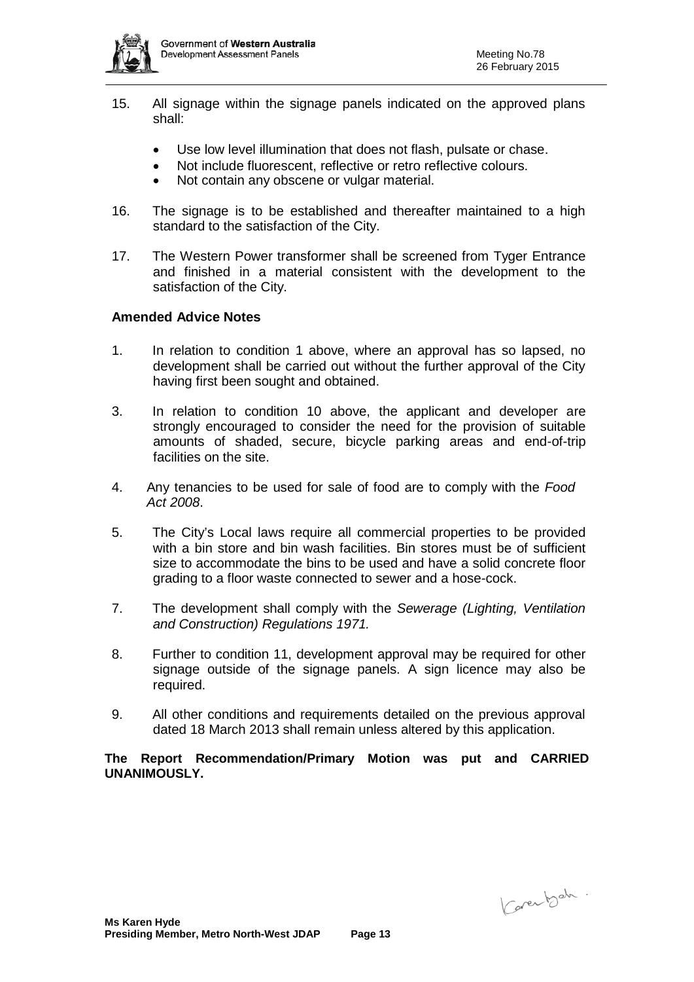

- 15. All signage within the signage panels indicated on the approved plans shall:
	- Use low level illumination that does not flash, pulsate or chase.
	- Not include fluorescent, reflective or retro reflective colours.
	- Not contain any obscene or vulgar material.
- 16. The signage is to be established and thereafter maintained to a high standard to the satisfaction of the City.
- 17. The Western Power transformer shall be screened from Tyger Entrance and finished in a material consistent with the development to the satisfaction of the City.

# **Amended Advice Notes**

- 1. In relation to condition 1 above, where an approval has so lapsed, no development shall be carried out without the further approval of the City having first been sought and obtained.
- 3. In relation to condition 10 above, the applicant and developer are strongly encouraged to consider the need for the provision of suitable amounts of shaded, secure, bicycle parking areas and end-of-trip facilities on the site.
- 4. Any tenancies to be used for sale of food are to comply with the *Food Act 2008*.
- 5. The City's Local laws require all commercial properties to be provided with a bin store and bin wash facilities. Bin stores must be of sufficient size to accommodate the bins to be used and have a solid concrete floor grading to a floor waste connected to sewer and a hose-cock.
- 7. The development shall comply with the *Sewerage (Lighting, Ventilation and Construction) Regulations 1971.*
- 8. Further to condition 11, development approval may be required for other signage outside of the signage panels. A sign licence may also be required.
- 9. All other conditions and requirements detailed on the previous approval dated 18 March 2013 shall remain unless altered by this application.

**The Report Recommendation/Primary Motion was put and CARRIED UNANIMOUSLY.**